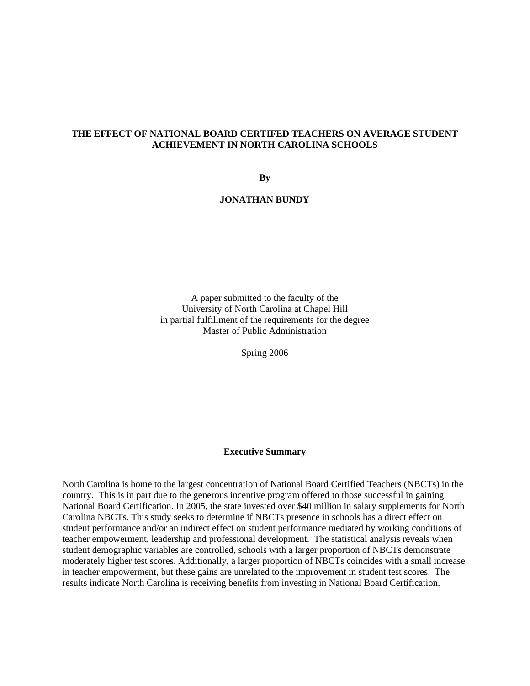## **THE EFFECT OF NATIONAL BOARD CERTIFED TEACHERS ON AVERAGE STUDENT ACHIEVEMENT IN NORTH CAROLINA SCHOOLS**

**By** 

## **JONATHAN BUNDY**

A paper submitted to the faculty of the University of North Carolina at Chapel Hill in partial fulfillment of the requirements for the degree Master of Public Administration

Spring 2006

## **Executive Summary**

North Carolina is home to the largest concentration of National Board Certified Teachers (NBCTs) in the country. This is in part due to the generous incentive program offered to those successful in gaining National Board Certification. In 2005, the state invested over \$40 million in salary supplements for North Carolina NBCTs. This study seeks to determine if NBCTs presence in schools has a direct effect on student performance and/or an indirect effect on student performance mediated by working conditions of teacher empowerment, leadership and professional development. The statistical analysis reveals when student demographic variables are controlled, schools with a larger proportion of NBCTs demonstrate moderately higher test scores. Additionally, a larger proportion of NBCTs coincides with a small increase in teacher empowerment, but these gains are unrelated to the improvement in student test scores. The results indicate North Carolina is receiving benefits from investing in National Board Certification.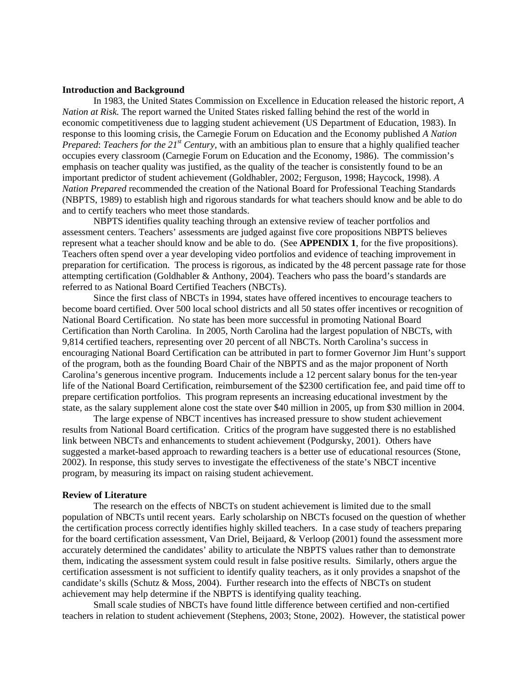## **Introduction and Background**

 In 1983, the United States Commission on Excellence in Education released the historic report, *A Nation at Risk.* The report warned the United States risked falling behind the rest of the world in economic competitiveness due to lagging student achievement (US Department of Education, 1983). In response to this looming crisis, the Carnegie Forum on Education and the Economy published *A Nation Prepared*: *Teachers for the 21st Century,* with an ambitious plan to ensure that a highly qualified teacher occupies every classroom (Carnegie Forum on Education and the Economy, 1986). The commission's emphasis on teacher quality was justified, as the quality of the teacher is consistently found to be an important predictor of student achievement (Goldhabler, 2002; Ferguson, 1998; Haycock, 1998). *A Nation Prepared* recommended the creation of the National Board for Professional Teaching Standards (NBPTS, 1989) to establish high and rigorous standards for what teachers should know and be able to do and to certify teachers who meet those standards.

NBPTS identifies quality teaching through an extensive review of teacher portfolios and assessment centers. Teachers' assessments are judged against five core propositions NBPTS believes represent what a teacher should know and be able to do. (See **APPENDIX 1**, for the five propositions). Teachers often spend over a year developing video portfolios and evidence of teaching improvement in preparation for certification. The process is rigorous, as indicated by the 48 percent passage rate for those attempting certification (Goldhabler & Anthony, 2004). Teachers who pass the board's standards are referred to as National Board Certified Teachers (NBCTs).

 Since the first class of NBCTs in 1994, states have offered incentives to encourage teachers to become board certified. Over 500 local school districts and all 50 states offer incentives or recognition of National Board Certification. No state has been more successful in promoting National Board Certification than North Carolina. In 2005, North Carolina had the largest population of NBCTs, with 9,814 certified teachers, representing over 20 percent of all NBCTs. North Carolina's success in encouraging National Board Certification can be attributed in part to former Governor Jim Hunt's support of the program, both as the founding Board Chair of the NBPTS and as the major proponent of North Carolina's generous incentive program. Inducements include a 12 percent salary bonus for the ten-year life of the National Board Certification, reimbursement of the \$2300 certification fee, and paid time off to prepare certification portfolios. This program represents an increasing educational investment by the state, as the salary supplement alone cost the state over \$40 million in 2005, up from \$30 million in 2004.

The large expense of NBCT incentives has increased pressure to show student achievement results from National Board certification. Critics of the program have suggested there is no established link between NBCTs and enhancements to student achievement (Podgursky, 2001). Others have suggested a market-based approach to rewarding teachers is a better use of educational resources (Stone, 2002). In response, this study serves to investigate the effectiveness of the state's NBCT incentive program, by measuring its impact on raising student achievement.

## **Review of Literature**

The research on the effects of NBCTs on student achievement is limited due to the small population of NBCTs until recent years. Early scholarship on NBCTs focused on the question of whether the certification process correctly identifies highly skilled teachers. In a case study of teachers preparing for the board certification assessment, Van Driel, Beijaard, & Verloop (2001) found the assessment more accurately determined the candidates' ability to articulate the NBPTS values rather than to demonstrate them, indicating the assessment system could result in false positive results. Similarly, others argue the certification assessment is not sufficient to identify quality teachers, as it only provides a snapshot of the candidate's skills (Schutz & Moss, 2004). Further research into the effects of NBCTs on student achievement may help determine if the NBPTS is identifying quality teaching.

 Small scale studies of NBCTs have found little difference between certified and non-certified teachers in relation to student achievement (Stephens, 2003; Stone, 2002). However, the statistical power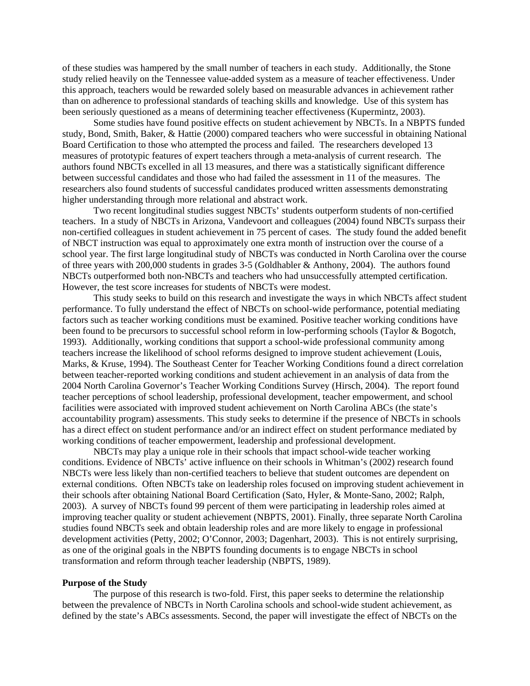of these studies was hampered by the small number of teachers in each study. Additionally, the Stone study relied heavily on the Tennessee value-added system as a measure of teacher effectiveness. Under this approach, teachers would be rewarded solely based on measurable advances in achievement rather than on adherence to professional standards of teaching skills and knowledge. Use of this system has been seriously questioned as a means of determining teacher effectiveness (Kupermintz, 2003).

Some studies have found positive effects on student achievement by NBCTs. In a NBPTS funded study, Bond, Smith, Baker, & Hattie (2000) compared teachers who were successful in obtaining National Board Certification to those who attempted the process and failed. The researchers developed 13 measures of prototypic features of expert teachers through a meta-analysis of current research. The authors found NBCTs excelled in all 13 measures, and there was a statistically significant difference between successful candidates and those who had failed the assessment in 11 of the measures. The researchers also found students of successful candidates produced written assessments demonstrating higher understanding through more relational and abstract work.

 Two recent longitudinal studies suggest NBCTs' students outperform students of non-certified teachers. In a study of NBCTs in Arizona, Vandevoort and colleagues (2004) found NBCTs surpass their non-certified colleagues in student achievement in 75 percent of cases. The study found the added benefit of NBCT instruction was equal to approximately one extra month of instruction over the course of a school year. The first large longitudinal study of NBCTs was conducted in North Carolina over the course of three years with 200,000 students in grades 3-5 (Goldhabler & Anthony, 2004). The authors found NBCTs outperformed both non-NBCTs and teachers who had unsuccessfully attempted certification. However, the test score increases for students of NBCTs were modest.

This study seeks to build on this research and investigate the ways in which NBCTs affect student performance. To fully understand the effect of NBCTs on school-wide performance, potential mediating factors such as teacher working conditions must be examined. Positive teacher working conditions have been found to be precursors to successful school reform in low-performing schools (Taylor & Bogotch, 1993). Additionally, working conditions that support a school-wide professional community among teachers increase the likelihood of school reforms designed to improve student achievement (Louis, Marks, & Kruse, 1994). The Southeast Center for Teacher Working Conditions found a direct correlation between teacher-reported working conditions and student achievement in an analysis of data from the 2004 North Carolina Governor's Teacher Working Conditions Survey (Hirsch, 2004). The report found teacher perceptions of school leadership, professional development, teacher empowerment, and school facilities were associated with improved student achievement on North Carolina ABCs (the state's accountability program) assessments. This study seeks to determine if the presence of NBCTs in schools has a direct effect on student performance and/or an indirect effect on student performance mediated by working conditions of teacher empowerment, leadership and professional development.

 NBCTs may play a unique role in their schools that impact school-wide teacher working conditions. Evidence of NBCTs' active influence on their schools in Whitman's (2002) research found NBCTs were less likely than non-certified teachers to believe that student outcomes are dependent on external conditions. Often NBCTs take on leadership roles focused on improving student achievement in their schools after obtaining National Board Certification (Sato, Hyler, & Monte-Sano, 2002; Ralph, 2003). A survey of NBCTs found 99 percent of them were participating in leadership roles aimed at improving teacher quality or student achievement (NBPTS, 2001). Finally, three separate North Carolina studies found NBCTs seek and obtain leadership roles and are more likely to engage in professional development activities (Petty, 2002; O'Connor, 2003; Dagenhart, 2003). This is not entirely surprising, as one of the original goals in the NBPTS founding documents is to engage NBCTs in school transformation and reform through teacher leadership (NBPTS, 1989).

## **Purpose of the Study**

The purpose of this research is two-fold. First, this paper seeks to determine the relationship between the prevalence of NBCTs in North Carolina schools and school-wide student achievement, as defined by the state's ABCs assessments. Second, the paper will investigate the effect of NBCTs on the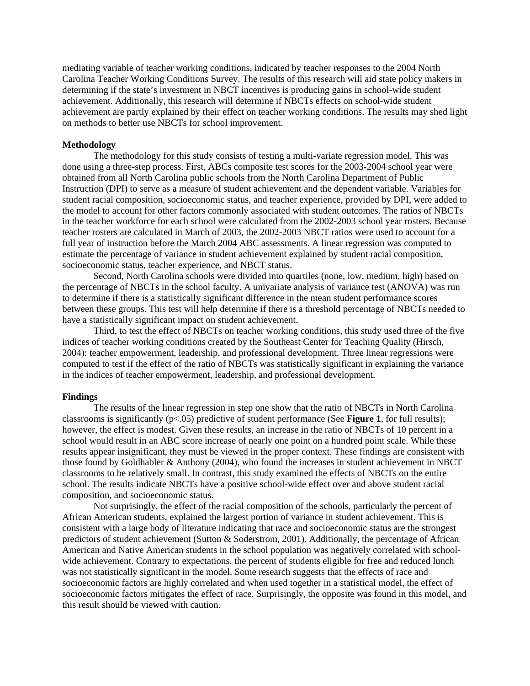mediating variable of teacher working conditions, indicated by teacher responses to the 2004 North Carolina Teacher Working Conditions Survey. The results of this research will aid state policy makers in determining if the state's investment in NBCT incentives is producing gains in school-wide student achievement. Additionally, this research will determine if NBCTs effects on school-wide student achievement are partly explained by their effect on teacher working conditions. The results may shed light on methods to better use NBCTs for school improvement.

## **Methodology**

The methodology for this study consists of testing a multi-variate regression model. This was done using a three-step process. First, ABCs composite test scores for the 2003-2004 school year were obtained from all North Carolina public schools from the North Carolina Department of Public Instruction (DPI) to serve as a measure of student achievement and the dependent variable. Variables for student racial composition, socioeconomic status, and teacher experience, provided by DPI, were added to the model to account for other factors commonly associated with student outcomes. The ratios of NBCTs in the teacher workforce for each school were calculated from the 2002-2003 school year rosters. Because teacher rosters are calculated in March of 2003, the 2002-2003 NBCT ratios were used to account for a full year of instruction before the March 2004 ABC assessments. A linear regression was computed to estimate the percentage of variance in student achievement explained by student racial composition, socioeconomic status, teacher experience, and NBCT status.

 Second, North Carolina schools were divided into quartiles (none, low, medium, high) based on the percentage of NBCTs in the school faculty. A univariate analysis of variance test (ANOVA) was run to determine if there is a statistically significant difference in the mean student performance scores between these groups. This test will help determine if there is a threshold percentage of NBCTs needed to have a statistically significant impact on student achievement.

 Third, to test the effect of NBCTs on teacher working conditions, this study used three of the five indices of teacher working conditions created by the Southeast Center for Teaching Quality (Hirsch, 2004): teacher empowerment, leadership, and professional development. Three linear regressions were computed to test if the effect of the ratio of NBCTs was statistically significant in explaining the variance in the indices of teacher empowerment, leadership, and professional development.

#### **Findings**

The results of the linear regression in step one show that the ratio of NBCTs in North Carolina classrooms is significantly (p<.05) predictive of student performance (See **Figure 1**, for full results); however, the effect is modest. Given these results, an increase in the ratio of NBCTs of 10 percent in a school would result in an ABC score increase of nearly one point on a hundred point scale. While these results appear insignificant, they must be viewed in the proper context. These findings are consistent with those found by Goldhabler & Anthony (2004), who found the increases in student achievement in NBCT classrooms to be relatively small. In contrast, this study examined the effects of NBCTs on the entire school. The results indicate NBCTs have a positive school-wide effect over and above student racial composition, and socioeconomic status.

 Not surprisingly, the effect of the racial composition of the schools, particularly the percent of African American students, explained the largest portion of variance in student achievement. This is consistent with a large body of literature indicating that race and socioeconomic status are the strongest predictors of student achievement (Sutton & Soderstrom, 2001). Additionally, the percentage of African American and Native American students in the school population was negatively correlated with schoolwide achievement. Contrary to expectations, the percent of students eligible for free and reduced lunch was not statistically significant in the model. Some research suggests that the effects of race and socioeconomic factors are highly correlated and when used together in a statistical model, the effect of socioeconomic factors mitigates the effect of race. Surprisingly, the opposite was found in this model, and this result should be viewed with caution.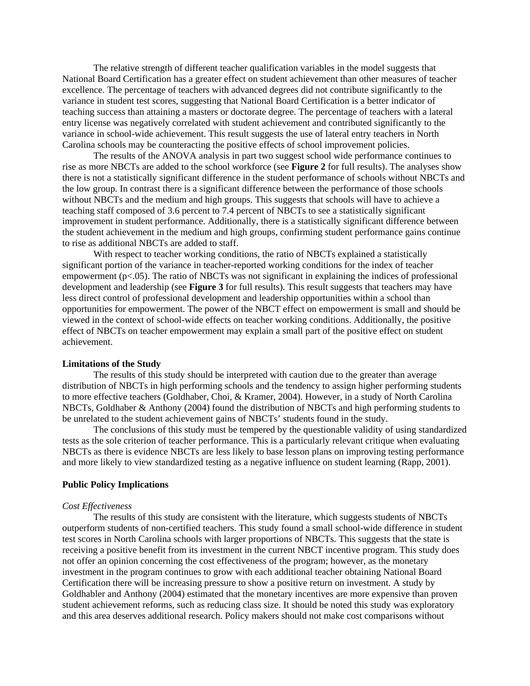The relative strength of different teacher qualification variables in the model suggests that National Board Certification has a greater effect on student achievement than other measures of teacher excellence. The percentage of teachers with advanced degrees did not contribute significantly to the variance in student test scores, suggesting that National Board Certification is a better indicator of teaching success than attaining a masters or doctorate degree. The percentage of teachers with a lateral entry license was negatively correlated with student achievement and contributed significantly to the variance in school-wide achievement. This result suggests the use of lateral entry teachers in North Carolina schools may be counteracting the positive effects of school improvement policies.

 The results of the ANOVA analysis in part two suggest school wide performance continues to rise as more NBCTs are added to the school workforce (see **Figure 2** for full results). The analyses show there is not a statistically significant difference in the student performance of schools without NBCTs and the low group. In contrast there is a significant difference between the performance of those schools without NBCTs and the medium and high groups. This suggests that schools will have to achieve a teaching staff composed of 3.6 percent to 7.4 percent of NBCTs to see a statistically significant improvement in student performance. Additionally, there is a statistically significant difference between the student achievement in the medium and high groups, confirming student performance gains continue to rise as additional NBCTs are added to staff.

With respect to teacher working conditions, the ratio of NBCTs explained a statistically significant portion of the variance in teacher-reported working conditions for the index of teacher empowerment ( $p<0.05$ ). The ratio of NBCTs was not significant in explaining the indices of professional development and leadership (see **Figure 3** for full results). This result suggests that teachers may have less direct control of professional development and leadership opportunities within a school than opportunities for empowerment. The power of the NBCT effect on empowerment is small and should be viewed in the context of school-wide effects on teacher working conditions. Additionally, the positive effect of NBCTs on teacher empowerment may explain a small part of the positive effect on student achievement.

#### **Limitations of the Study**

 The results of this study should be interpreted with caution due to the greater than average distribution of NBCTs in high performing schools and the tendency to assign higher performing students to more effective teachers (Goldhaber, Choi, & Kramer, 2004). However, in a study of North Carolina NBCTs, Goldhaber & Anthony (2004) found the distribution of NBCTs and high performing students to be unrelated to the student achievement gains of NBCTs' students found in the study.

 The conclusions of this study must be tempered by the questionable validity of using standardized tests as the sole criterion of teacher performance. This is a particularly relevant critique when evaluating NBCTs as there is evidence NBCTs are less likely to base lesson plans on improving testing performance and more likely to view standardized testing as a negative influence on student learning (Rapp, 2001).

## **Public Policy Implications**

#### *Cost Effectiveness*

The results of this study are consistent with the literature, which suggests students of NBCTs outperform students of non-certified teachers. This study found a small school-wide difference in student test scores in North Carolina schools with larger proportions of NBCTs. This suggests that the state is receiving a positive benefit from its investment in the current NBCT incentive program. This study does not offer an opinion concerning the cost effectiveness of the program; however, as the monetary investment in the program continues to grow with each additional teacher obtaining National Board Certification there will be increasing pressure to show a positive return on investment. A study by Goldhabler and Anthony (2004) estimated that the monetary incentives are more expensive than proven student achievement reforms, such as reducing class size. It should be noted this study was exploratory and this area deserves additional research. Policy makers should not make cost comparisons without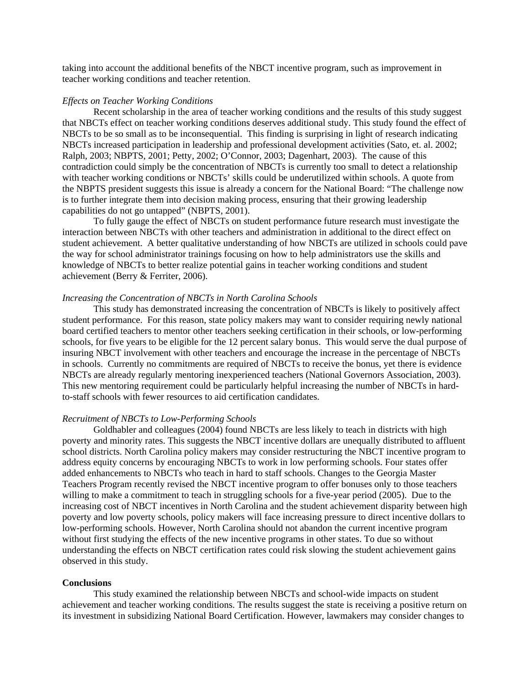taking into account the additional benefits of the NBCT incentive program, such as improvement in teacher working conditions and teacher retention.

## *Effects on Teacher Working Conditions*

 Recent scholarship in the area of teacher working conditions and the results of this study suggest that NBCTs effect on teacher working conditions deserves additional study. This study found the effect of NBCTs to be so small as to be inconsequential. This finding is surprising in light of research indicating NBCTs increased participation in leadership and professional development activities (Sato, et. al. 2002; Ralph, 2003; NBPTS, 2001; Petty, 2002; O'Connor, 2003; Dagenhart, 2003). The cause of this contradiction could simply be the concentration of NBCTs is currently too small to detect a relationship with teacher working conditions or NBCTs' skills could be underutilized within schools. A quote from the NBPTS president suggests this issue is already a concern for the National Board: "The challenge now is to further integrate them into decision making process, ensuring that their growing leadership capabilities do not go untapped" (NBPTS, 2001).

To fully gauge the effect of NBCTs on student performance future research must investigate the interaction between NBCTs with other teachers and administration in additional to the direct effect on student achievement. A better qualitative understanding of how NBCTs are utilized in schools could pave the way for school administrator trainings focusing on how to help administrators use the skills and knowledge of NBCTs to better realize potential gains in teacher working conditions and student achievement (Berry & Ferriter, 2006).

#### *Increasing the Concentration of NBCTs in North Carolina Schools*

This study has demonstrated increasing the concentration of NBCTs is likely to positively affect student performance. For this reason, state policy makers may want to consider requiring newly national board certified teachers to mentor other teachers seeking certification in their schools, or low-performing schools, for five years to be eligible for the 12 percent salary bonus. This would serve the dual purpose of insuring NBCT involvement with other teachers and encourage the increase in the percentage of NBCTs in schools. Currently no commitments are required of NBCTs to receive the bonus, yet there is evidence NBCTs are already regularly mentoring inexperienced teachers (National Governors Association, 2003). This new mentoring requirement could be particularly helpful increasing the number of NBCTs in hardto-staff schools with fewer resources to aid certification candidates.

## *Recruitment of NBCTs to Low-Performing Schools*

 Goldhabler and colleagues (2004) found NBCTs are less likely to teach in districts with high poverty and minority rates. This suggests the NBCT incentive dollars are unequally distributed to affluent school districts. North Carolina policy makers may consider restructuring the NBCT incentive program to address equity concerns by encouraging NBCTs to work in low performing schools. Four states offer added enhancements to NBCTs who teach in hard to staff schools. Changes to the Georgia Master Teachers Program recently revised the NBCT incentive program to offer bonuses only to those teachers willing to make a commitment to teach in struggling schools for a five-year period (2005). Due to the increasing cost of NBCT incentives in North Carolina and the student achievement disparity between high poverty and low poverty schools, policy makers will face increasing pressure to direct incentive dollars to low-performing schools. However, North Carolina should not abandon the current incentive program without first studying the effects of the new incentive programs in other states. To due so without understanding the effects on NBCT certification rates could risk slowing the student achievement gains observed in this study.

## **Conclusions**

This study examined the relationship between NBCTs and school-wide impacts on student achievement and teacher working conditions. The results suggest the state is receiving a positive return on its investment in subsidizing National Board Certification. However, lawmakers may consider changes to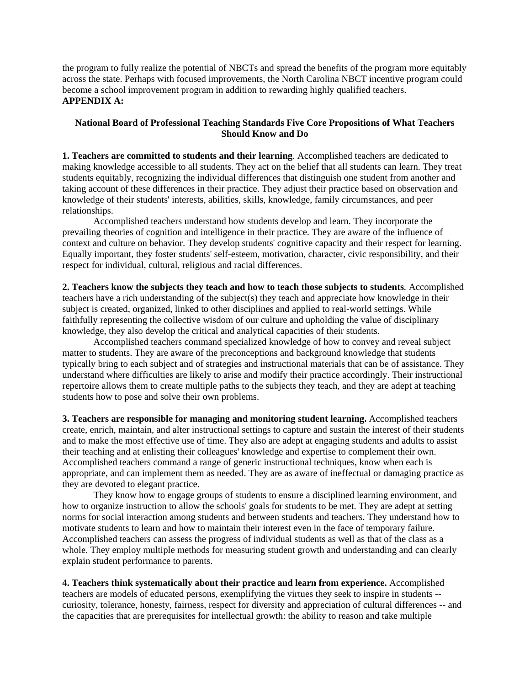the program to fully realize the potential of NBCTs and spread the benefits of the program more equitably across the state. Perhaps with focused improvements, the North Carolina NBCT incentive program could become a school improvement program in addition to rewarding highly qualified teachers. **APPENDIX A:** 

## **National Board of Professional Teaching Standards Five Core Propositions of What Teachers Should Know and Do**

**1. Teachers are committed to students and their learning***.* Accomplished teachers are dedicated to making knowledge accessible to all students. They act on the belief that all students can learn. They treat students equitably, recognizing the individual differences that distinguish one student from another and taking account of these differences in their practice. They adjust their practice based on observation and knowledge of their students' interests, abilities, skills, knowledge, family circumstances, and peer relationships.

Accomplished teachers understand how students develop and learn. They incorporate the prevailing theories of cognition and intelligence in their practice. They are aware of the influence of context and culture on behavior. They develop students' cognitive capacity and their respect for learning. Equally important, they foster students' self-esteem, motivation, character, civic responsibility, and their respect for individual, cultural, religious and racial differences.

**2. Teachers know the subjects they teach and how to teach those subjects to students***.* Accomplished teachers have a rich understanding of the subject(s) they teach and appreciate how knowledge in their subject is created, organized, linked to other disciplines and applied to real-world settings. While faithfully representing the collective wisdom of our culture and upholding the value of disciplinary knowledge, they also develop the critical and analytical capacities of their students.

Accomplished teachers command specialized knowledge of how to convey and reveal subject matter to students. They are aware of the preconceptions and background knowledge that students typically bring to each subject and of strategies and instructional materials that can be of assistance. They understand where difficulties are likely to arise and modify their practice accordingly. Their instructional repertoire allows them to create multiple paths to the subjects they teach, and they are adept at teaching students how to pose and solve their own problems.

**3. Teachers are responsible for managing and monitoring student learning.** Accomplished teachers create, enrich, maintain, and alter instructional settings to capture and sustain the interest of their students and to make the most effective use of time. They also are adept at engaging students and adults to assist their teaching and at enlisting their colleagues' knowledge and expertise to complement their own. Accomplished teachers command a range of generic instructional techniques, know when each is appropriate, and can implement them as needed. They are as aware of ineffectual or damaging practice as they are devoted to elegant practice.

They know how to engage groups of students to ensure a disciplined learning environment, and how to organize instruction to allow the schools' goals for students to be met. They are adept at setting norms for social interaction among students and between students and teachers. They understand how to motivate students to learn and how to maintain their interest even in the face of temporary failure. Accomplished teachers can assess the progress of individual students as well as that of the class as a whole. They employ multiple methods for measuring student growth and understanding and can clearly explain student performance to parents.

**4. Teachers think systematically about their practice and learn from experience.** Accomplished teachers are models of educated persons, exemplifying the virtues they seek to inspire in students - curiosity, tolerance, honesty, fairness, respect for diversity and appreciation of cultural differences -- and the capacities that are prerequisites for intellectual growth: the ability to reason and take multiple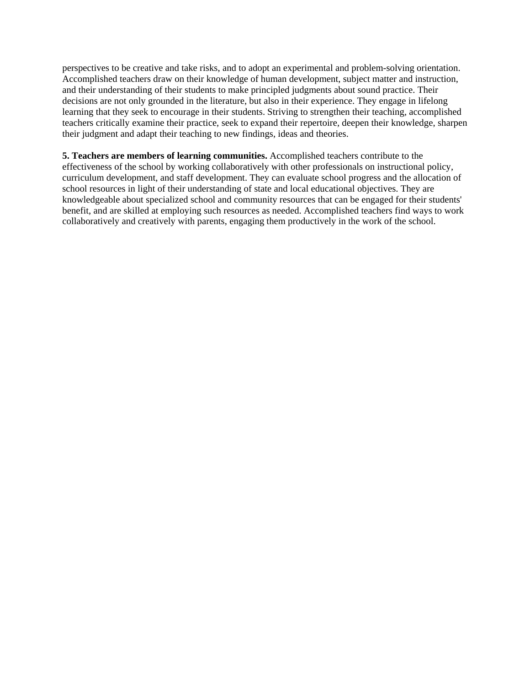perspectives to be creative and take risks, and to adopt an experimental and problem-solving orientation. Accomplished teachers draw on their knowledge of human development, subject matter and instruction, and their understanding of their students to make principled judgments about sound practice. Their decisions are not only grounded in the literature, but also in their experience. They engage in lifelong learning that they seek to encourage in their students. Striving to strengthen their teaching, accomplished teachers critically examine their practice, seek to expand their repertoire, deepen their knowledge, sharpen their judgment and adapt their teaching to new findings, ideas and theories.

**5. Teachers are members of learning communities.** Accomplished teachers contribute to the effectiveness of the school by working collaboratively with other professionals on instructional policy, curriculum development, and staff development. They can evaluate school progress and the allocation of school resources in light of their understanding of state and local educational objectives. They are knowledgeable about specialized school and community resources that can be engaged for their students' benefit, and are skilled at employing such resources as needed. Accomplished teachers find ways to work collaboratively and creatively with parents, engaging them productively in the work of the school.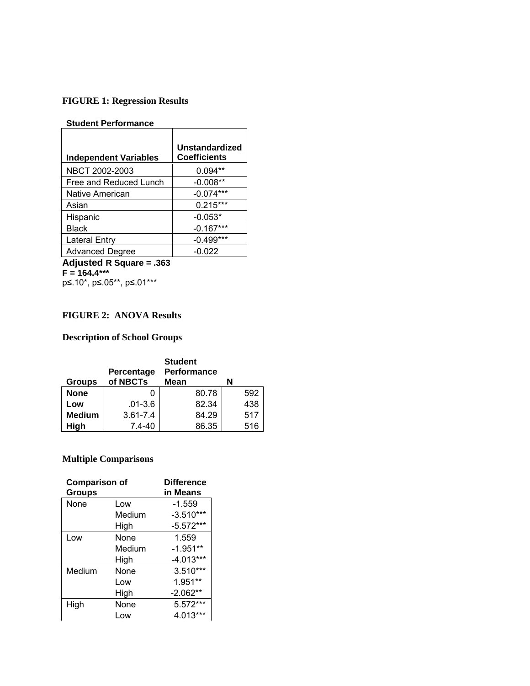# **FIGURE 1: Regression Results**

## **Student Performance**

| <b>Independent Variables</b> | Unstandardized<br><b>Coefficients</b> |
|------------------------------|---------------------------------------|
| NBCT 2002-2003               | $0.094**$                             |
| Free and Reduced Lunch       | $-0.008**$                            |
| Native American              | $-0.074***$                           |
| Asian                        | $0.215***$                            |
| Hispanic                     | $-0.053*$                             |
| Black                        | $-0.167***$                           |
| <b>Lateral Entry</b>         | $-0.499***$                           |
| <b>Advanced Degree</b>       | $-0.022$                              |

**Adjusted R Square = .363 F = 164.4\*\*\***  p≤.10\*, p≤.05\*\*, p≤.01\*\*\*

# **FIGURE 2: ANOVA Results**

# **Description of School Groups**

|               | Percentage   | <b>Student</b><br>Performance |     |
|---------------|--------------|-------------------------------|-----|
| <b>Groups</b> | of NBCTs     | Mean                          | N   |
| <b>None</b>   |              | 80.78                         | 592 |
| Low           | $.01 - 3.6$  | 82.34                         | 438 |
| <b>Medium</b> | $3.61 - 7.4$ | 84.29                         | 517 |
| High          | $7.4 - 40$   | 86.35                         | 516 |

# **Multiple Comparisons**

| <b>Comparison of</b><br><b>Groups</b> |        | <b>Difference</b><br>in Means |
|---------------------------------------|--------|-------------------------------|
| None                                  | Low    | $-1.559$                      |
|                                       | Medium | $-3.510***$                   |
|                                       | High   | $-5.572***$                   |
| Low                                   | None   | 1.559                         |
|                                       | Medium | $-1.951**$                    |
|                                       | High   | $-4.013***$                   |
| Medium                                | None   | 3.510***                      |
|                                       | Low    | 1.951**                       |
|                                       | High   | $-2.062**$                    |
| High                                  | None   | 5.572***                      |
|                                       | Low    | 4.013***                      |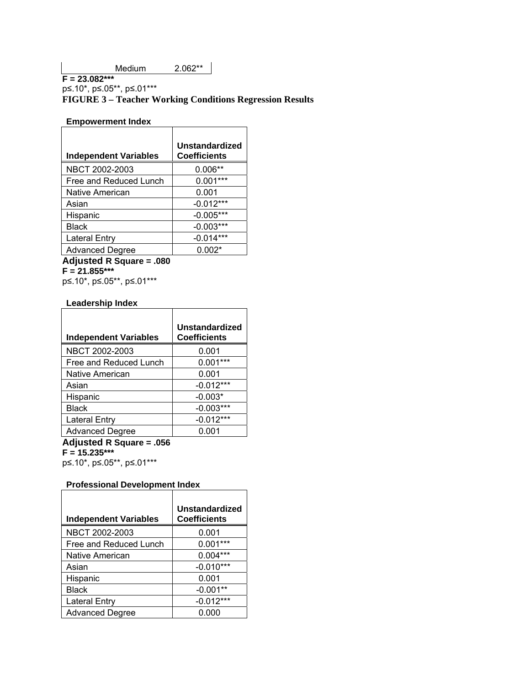p≤.10\*, p≤.05\*\*, p≤.01\*\*\*

## **FIGURE 3 – Teacher Working Conditions Regression Results**

 $\top$ 

 $\overline{\phantom{a}}$ 

 $\overline{\phantom{a}}$ 

# **Empowerment Index**

| <b>Independent Variables</b> | Unstandardized<br><b>Coefficients</b> |
|------------------------------|---------------------------------------|
| NBCT 2002-2003               | $0.006**$                             |
| Free and Reduced Lunch       | $0.001***$                            |
| Native American              | 0.001                                 |
| Asian                        | $-0.012***$                           |
| Hispanic                     | $-0.005***$                           |
| <b>Black</b>                 | $-0.003***$                           |
| <b>Lateral Entry</b>         | $-0.014***$                           |
| <b>Advanced Degree</b>       | $0.002*$                              |

**Adjusted R Square = .080 F = 21.855\*\*\*** 

p≤.10\*, p≤.05\*\*, p≤.01\*\*\*

## **Leadership Index**

| Unstandardized<br><b>Coefficients</b> |
|---------------------------------------|
| 0.001                                 |
| $0.001***$                            |
| 0.001                                 |
| $-0.012***$                           |
| $-0.003*$                             |
| $-0.003***$                           |
| $-0.012***$                           |
| 0.001                                 |
|                                       |

**Adjusted R Square = .056** 

**F = 15.235\*\*\*** 

p≤.10\*, p≤.05\*\*, p≤.01\*\*\*

#### **Professional Development Index**   $\Gamma$

| <b>Independent Variables</b> | <b>Unstandardized</b><br><b>Coefficients</b> |
|------------------------------|----------------------------------------------|
| NBCT 2002-2003               | 0.001                                        |
| Free and Reduced Lunch       | $0.001***$                                   |
| Native American              | $0.004***$                                   |
| Asian                        | $-0.010***$                                  |
| Hispanic                     | 0.001                                        |
| Black                        | $-0.001**$                                   |
| <b>Lateral Entry</b>         | $-0.012***$                                  |
| <b>Advanced Degree</b>       | 0.000                                        |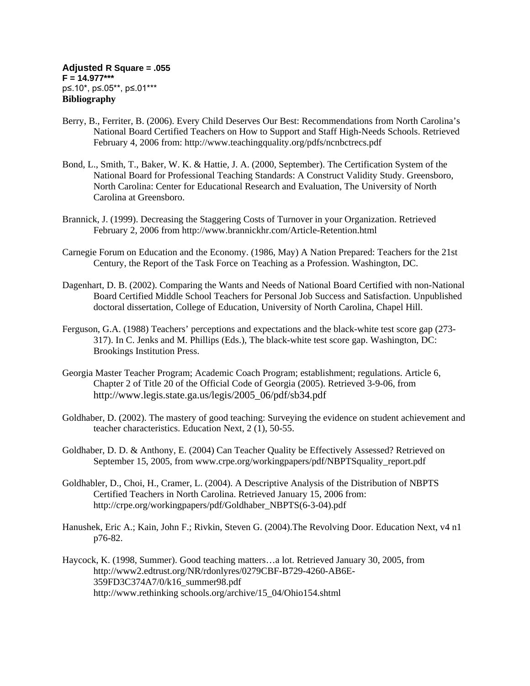- Berry, B., Ferriter, B. (2006). Every Child Deserves Our Best: Recommendations from North Carolina's National Board Certified Teachers on How to Support and Staff High-Needs Schools. Retrieved February 4, 2006 from:<http://www.teachingquality.org/pdfs/ncnbctrecs.pdf>
- Bond, L., Smith, T., Baker, W. K. & Hattie, J. A. (2000, September). The Certification System of the National Board for Professional Teaching Standards: A Construct Validity Study. Greensboro, North Carolina: Center for Educational Research and Evaluation, The University of North Carolina at Greensboro.
- Brannick, J. (1999). Decreasing the Staggering Costs of Turnover in your Organization. Retrieved February 2, 2006 from<http://www.brannickhr.com/Article-Retention.html>
- Carnegie Forum on Education and the Economy. (1986, May) A Nation Prepared: Teachers for the 21st Century, the Report of the Task Force on Teaching as a Profession. Washington, DC.
- Dagenhart, D. B. (2002). Comparing the Wants and Needs of National Board Certified with non-National Board Certified Middle School Teachers for Personal Job Success and Satisfaction. Unpublished doctoral dissertation, College of Education, University of North Carolina, Chapel Hill.
- Ferguson, G.A. (1988) Teachers' perceptions and expectations and the black-white test score gap (273- 317). In C. Jenks and M. Phillips (Eds.), The black-white test score gap. Washington, DC: Brookings Institution Press.
- Georgia Master Teacher Program; Academic Coach Program; establishment; regulations. Article 6, Chapter 2 of Title 20 of the Official Code of Georgia (2005). Retrieved 3-9-06, from http://www.legis.state.ga.us/legis/2005\_06/pdf/sb34.pdf
- Goldhaber, D. (2002). The mastery of good teaching: Surveying the evidence on student achievement and teacher characteristics. Education Next, 2 (1), 50-55.
- Goldhaber, D. D. & Anthony, E. (2004) Can Teacher Quality be Effectively Assessed? Retrieved on September 15, 2005, from [www.crpe.org/workingpapers/pdf/NBPTSquality\\_report.pdf](http://www.crpe.org/workingpapers/pdf/NBPTSquality_report.pdf)
- Goldhabler, D., Choi, H., Cramer, L. (2004). A Descriptive Analysis of the Distribution of NBPTS Certified Teachers in North Carolina. Retrieved January 15, 2006 from: [http://crpe.org/workingpapers/pdf/Goldhaber\\_NBPTS\(6-3-04\).pdf](http://crpe.org/workingpapers/pdf/Goldhaber_NBPTS(6-3-04).pdf)
- Hanushek, Eric A.; Kain, John F.; Rivkin, Steven G. (2004).[The Revolving Door.](http://web28.epnet.com.libproxy.lib.unc.edu/citation.asp?tb=1&_ug=sid+B6AFF2F6%2D340C%2D4390%2D9271%2D47DCBBDB5A09%40sessionmgr4+dbs+eric+cp+1+1A5B&_us=frn+1+hd+False+hs+False+or+Date+fh+False+ss+SO+sm+ES+sl+%2D1+dstb+ES+mh+1+ri+KAAACBYC00100288+BD4E&_uso=hd+False+tg%5B2+%2D+tg%5B1+%2DAU+tg%5B0+%2DAU+st%5B2+%2D+st%5B1+%2DRivkin+st%5B0+%2DHanushek+db%5B0+%2Deric+op%5B2+%2DAnd+op%5B1+%2DAnd+op%5B0+%2D+EC32&fn=1&rn=1) Education Next, v4 n1 p76-82.
- Haycock, K. (1998, Summer). Good teaching matters…a lot. Retrieved January 30, 2005, from [http://www2.edtrust.org/NR/rdonlyres/0279CBF-B729-4260-AB6E-](http://www2.edtrust.org/NR/rdonlyres/0279CBF-B729-4260-AB6E-359FD3C374A7/0/k16_summer98.pdf)[359FD3C374A7/0/k16\\_summer98.pdf](http://www2.edtrust.org/NR/rdonlyres/0279CBF-B729-4260-AB6E-359FD3C374A7/0/k16_summer98.pdf) http://www.rethinking schools.org/archive/15\_04/Ohio154.shtml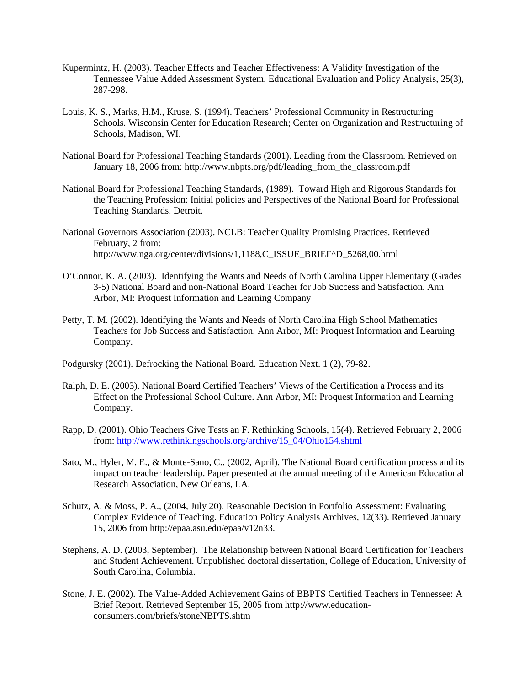- Kupermintz, H. (2003). Teacher Effects and Teacher Effectiveness: A Validity Investigation of the Tennessee Value Added Assessment System. Educational Evaluation and Policy Analysis, 25(3), 287-298.
- Louis, K. S., Marks, H.M., Kruse, S. (1994). Teachers' Professional Community in Restructuring Schools. Wisconsin Center for Education Research; Center on Organization and Restructuring of Schools, Madison, WI.
- National Board for Professional Teaching Standards (2001). Leading from the Classroom. Retrieved on January 18, 2006 from: [http://www.nbpts.org/pdf/leading\\_from\\_the\\_classroom.pdf](http://www.nbpts.org/pdf/leading_from_the_classroom.pdf)
- National Board for Professional Teaching Standards, (1989). Toward High and Rigorous Standards for the Teaching Profession: Initial policies and Perspectives of the National Board for Professional Teaching Standards. Detroit.
- National Governors Association (2003). NCLB: Teacher Quality Promising Practices. Retrieved February, 2 from: [http://www.nga.org/center/divisions/1,1188,C\\_ISSUE\\_BRIEF^D\\_5268,00.html](http://www.nga.org/center/divisions/1,1188,C_ISSUE_BRIEF%5ED_5268,00.html)
- O'Connor, K. A. (2003). Identifying the Wants and Needs of North Carolina Upper Elementary (Grades 3-5) National Board and non-National Board Teacher for Job Success and Satisfaction. Ann Arbor, MI: Proquest Information and Learning Company
- Petty, T. M. (2002). Identifying the Wants and Needs of North Carolina High School Mathematics Teachers for Job Success and Satisfaction. Ann Arbor, MI: Proquest Information and Learning Company.
- Podgursky (2001). Defrocking the National Board. Education Next. 1 (2), 79-82.
- Ralph, D. E. (2003). National Board Certified Teachers' Views of the Certification a Process and its Effect on the Professional School Culture. Ann Arbor, MI: Proquest Information and Learning Company.
- Rapp, D. (2001). Ohio Teachers Give Tests an F. Rethinking Schools, 15(4). Retrieved February 2, 2006 from: [http://www.rethinkingschools.org/archive/15\\_04/Ohio154.shtml](http://www.rethinkingschools.org/archive/15_04/Ohio154.shtml)
- Sato, M., Hyler, M. E., & Monte-Sano, C.. (2002, April). [The National Board certification process and its](http://nbrc.stanford.edu/research/leadership.pdf)  [impact on teacher leadership.](http://nbrc.stanford.edu/research/leadership.pdf) Paper presented at the annual meeting of the American Educational Research Association, New Orleans, LA.
- Schutz, A. & Moss, P. A., (2004, July 20). Reasonable Decision in Portfolio Assessment: Evaluating Complex Evidence of Teaching. Education Policy Analysis Archives, 12(33). Retrieved January 15, 2006 from<http://epaa.asu.edu/epaa/v12n33>.
- Stephens, A. D. (2003, September). The Relationship between National Board Certification for Teachers and Student Achievement. Unpublished doctoral dissertation, College of Education, University of South Carolina, Columbia.
- Stone, J. E. (2002). The Value-Added Achievement Gains of BBPTS Certified Teachers in Tennessee: A Brief Report. Retrieved September 15, 2005 from [http://www.education](http://www.education-consumers.com/briefs/stoneNBPTS.shtm)[consumers.com/briefs/stoneNBPTS.shtm](http://www.education-consumers.com/briefs/stoneNBPTS.shtm)